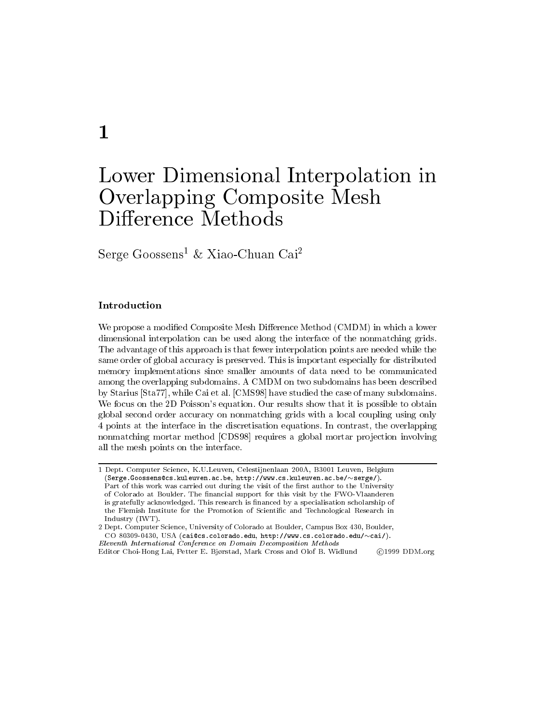# $\mathbf{1}$

# Lower Dimensional Interpolation in Overlapping Composite Mesh Difference Methods

Serge Goossens<sup>1</sup> & Xiao-Chuan Cai<sup>2</sup>

# Introduction

We propose a modified Composite Mesh Difference Method (CMDM) in which a lower dimensional interpolation can be used along the interface of the nonmatching grids. The advantage of this approach is that fewer interpolation points are needed while the same order of global accuracy is preserved. This is important especially for distributed memory implementations since smaller amounts of data need to be communicated among the overlapping subdomains. A CMDM on two subdomains has been described by Starius [Sta77], while Cai et al. [CMS98] have studied the case of many subdomains. We focus on the 2D Poisson's equation. Our results show that it is possible to obtain global second order accuracy on nonmatching grids with a local coupling using only 4 points at the interface in the discretisation equations. In contrast, the overlapping nonmatching mortar method [CDS98] requires a global mortar projection involving all the mesh points on the interface.

<sup>1</sup> Dept. Computer Science, K.U.Leuven, Celestijnenlaan 200A, B3001 Leuven, Belgium  $(Serge. Goossens@cs. kuleuven.ac.be, http://www.cs.kuleuven.ac.be/~serge/).$ Part of this work was carried out during the visit of the first author to the University of Colorado at Boulder. The financial support for this visit by the FWO-Vlaanderen is gratefully acknowledged. This research is financed by a specialisation scholarship of the Flemish Institute for the Promotion of Scientific and Technological Research in Industry (IWT).

<sup>2</sup> Dept. Computer Science, University of Colorado at Boulder, Campus Box 430, Boulder, CO 80309-0430, USA (cai@cs.colorado.edu, http://www.cs.colorado.edu/~cai/). Eleventh International Conference on Domain Decomposition Methods

Editor Choi-Hong Lai, Petter E. Bjørstad, Mark Cross and Olof B. Widlund ©1999 DDM.org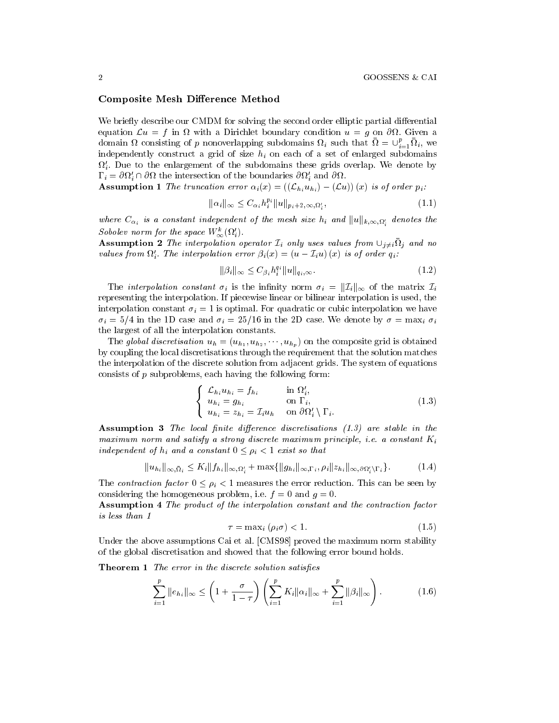#### **Composite Mesh Difference Method**

We briefly describe our CMDM for solving the second order elliptic partial differential equation  $\mathcal{L}u = f$  in  $\Omega$  with a Dirichlet boundary condition  $u = g$  on  $\partial\Omega$ . Given a domain  $\Omega$  consisting of p nonoverlapping subdomains  $\Omega_i$  such that  $\Omega = \bigcup_{i=1}^p \Omega_i$ , we independently construct a grid of size  $h_i$  on each of a set of enlarged subdomains  $\Omega'_{i}$ . Due to the enlargement of the subdomains these grids overlap. We denote by  $\Gamma_i = \partial \Omega_i' \cap \partial \Omega$  the intersection of the boundaries  $\partial \Omega_i'$  and  $\partial \Omega$ .

**Assumption 1** The truncation error  $\alpha_i(x) = ((\mathcal{L}_{h_i} u_{h_i}) - (\mathcal{L}u))(x)$  is of order  $p_i$ .

$$
\|\alpha_i\|_{\infty} \le C_{\alpha_i} h_i^{p_i} \|u\|_{p_i+2,\infty,\Omega_i'},\tag{1.1}
$$

where  $C_{\alpha_i}$  is a constant independent of the mesh size  $h_i$  and  $||u||_{k,\infty,\Omega_i'}$  denotes the Sobolev norm for the space  $W^k_{\infty}(\Omega'_i)$ .

**Assumption 2** The interpolation operator  $\mathcal{I}_i$  only uses values from  $\cup_{j\neq i} \overline{\Omega}_j$  and no values from  $\Omega_i'$ . The interpolation error  $\beta_i(x) = (u - \mathcal{I}_i u)(x)$  is of order  $q_i$ .

$$
\|\beta_i\|_{\infty} \le C_{\beta_i} h_i^{q_i} \|u\|_{q_i,\infty}.
$$
\n
$$
(1.2)
$$

The *interpolation constant*  $\sigma_i$  is the infinity norm  $\sigma_i = ||\mathcal{I}_i||_{\infty}$  of the matrix  $\mathcal{I}_i$ representing the interpolation. If piecewise linear or bilinear interpolation is used, the interpolation constant  $\sigma_i = 1$  is optimal. For quadratic or cubic interpolation we have  $\sigma_i = 5/4$  in the 1D case and  $\sigma_i = 25/16$  in the 2D case. We denote by  $\sigma = \max_i \sigma_i$ the largest of all the interpolation constants.

The global discretisation  $u_h = (u_{h_1}, u_{h_2}, \dots, u_{h_p})$  on the composite grid is obtained by coupling the local discretisations through the requirement that the solution matches the interpolation of the discrete solution from adjacent grids. The system of equations consists of  $p$  subproblems, each having the following form:

$$
\begin{cases}\n\mathcal{L}_{h_i} u_{h_i} = f_{h_i} & \text{in } \Omega'_i, \\
u_{h_i} = g_{h_i} & \text{on } \Gamma_i, \\
u_{h_i} = z_{h_i} = \mathcal{I}_i u_h & \text{on } \partial \Omega'_i \setminus \Gamma_i.\n\end{cases}
$$
\n(1.3)

**Assumption 3** The local finite difference discretisations (1.3) are stable in the maximum norm and satisfy a strong discrete maximum principle, i.e. a constant  $K_i$ independent of  $h_i$  and a constant  $0 \leq \rho_i < 1$  exist so that

$$
||u_{h_i}||_{\infty, \bar{\Omega}_i} \le K_i ||f_{h_i}||_{\infty, \Omega'_i} + \max{||g_{h_i}||_{\infty, \Gamma_i}, \rho_i||z_{h_i}||_{\infty, \partial \Omega'_i \setminus \Gamma_i}}.
$$
 (1.4)

The contraction factor  $0 \le \rho_i < 1$  measures the error reduction. This can be seen by considering the homogeneous problem, i.e.  $f = 0$  and  $g = 0$ .

**Assumption 4** The product of the interpolation constant and the contraction factor is less than 1

$$
\tau = \max_{i} (\rho_i \sigma) < 1. \tag{1.5}
$$

Under the above assumptions Cai et al. [CMS98] proved the maximum norm stability of the global discretisation and showed that the following error bound holds.

**Theorem 1** The error in the discrete solution satisfies

$$
\sum_{i=1}^{p} ||e_{h_i}||_{\infty} \le \left(1 + \frac{\sigma}{1-\tau}\right) \left(\sum_{i=1}^{p} K_i ||\alpha_i||_{\infty} + \sum_{i=1}^{p} ||\beta_i||_{\infty}\right). \tag{1.6}
$$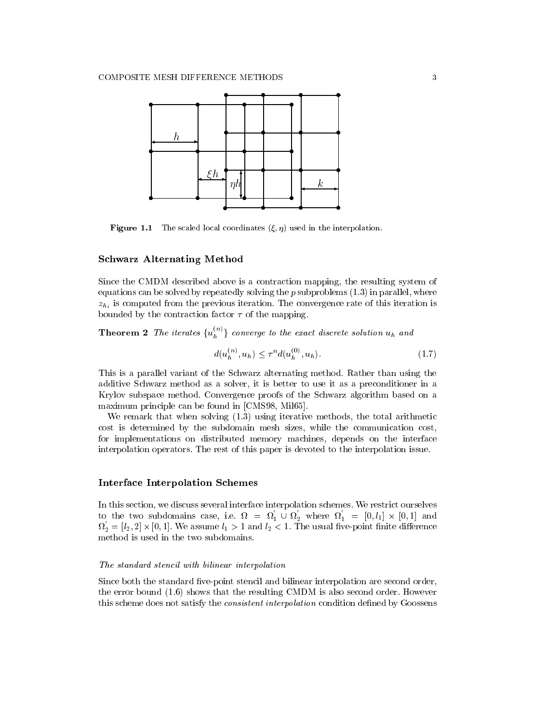

**Figure 1.1** The scaled local coordinates  $(\xi, \eta)$  used in the interpolation.

#### **Schwarz Alternating Method**

Since the CMDM described above is a contraction mapping, the resulting system of equations can be solved by repeatedly solving the  $p$  subproblems  $(1.3)$  in parallel, where  $z_h$ , is computed from the previous iteration. The convergence rate of this iteration is bounded by the contraction factor  $\tau$  of the mapping.

**Theorem 2** The iterates  $\{u_h^{(n)}\}$  converge to the exact discrete solution  $u_h$  and

$$
d(u_h^{(n)}, u_h) \le \tau^n d(u_h^{(0)}, u_h). \tag{1.7}
$$

This is a parallel variant of the Schwarz alternating method. Rather than using the additive Schwarz method as a solver, it is better to use it as a preconditioner in a Krylov subspace method. Convergence proofs of the Schwarz algorithm based on a maximum principle can be found in [CMS98, Mil65].

We remark that when solving  $(1.3)$  using iterative methods, the total arithmetic cost is determined by the subdomain mesh sizes, while the communication cost, for implementations on distributed memory machines, depends on the interface interpolation operators. The rest of this paper is devoted to the interpolation issue.

## **Interface Interpolation Schemes**

In this section, we discuss several interface interpolation schemes. We restrict ourselves to the two subdomains case, i.e.  $\Omega = \Omega_1 \cup \Omega_2$  where  $\Omega_1 = [0, l_1] \times [0, 1]$  and  $\Omega'_2 = [l_2, 2] \times [0, 1]$ . We assume  $l_1 > 1$  and  $l_2 < 1$ . The usual five-point finite difference method is used in the two subdomains.

#### The standard stencil with bilinear interpolation

Since both the standard five-point stencil and bilinear interpolation are second order, the error bound  $(1.6)$  shows that the resulting CMDM is also second order. However this scheme does not satisfy the *consistent interpolation* condition defined by Goossens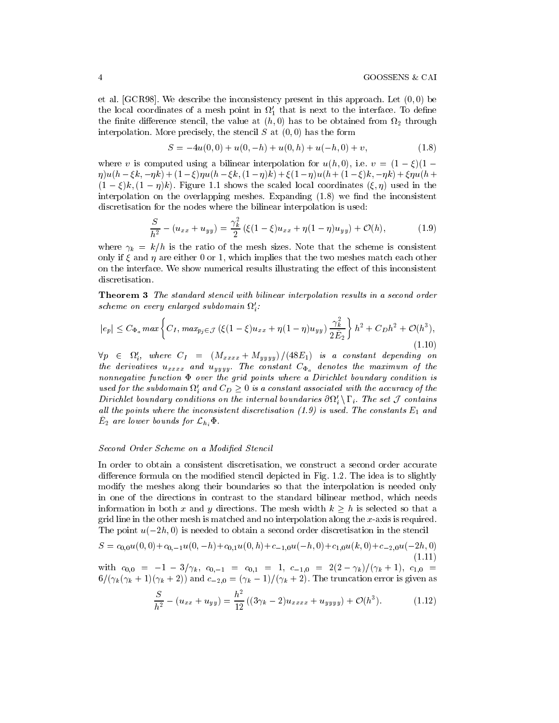et al. [GCR98]. We describe the inconsistency present in this approach. Let  $(0,0)$  be the local coordinates of a mesh point in  $\Omega'_1$  that is next to the interface. To define the finite difference stencil, the value at  $(h,0)$  has to be obtained from  $\Omega_2$  through interpolation. More precisely, the stencil  $S$  at  $(0,0)$  has the form

$$
S = -4u(0,0) + u(0,-h) + u(0,h) + u(-h,0) + v,
$$
\n(1.8)

where v is computed using a bilinear interpolation for  $u(h,0)$ , i.e.  $v = (1 - \xi)(1 \eta)u(h-\xi k,-\eta k)+(1-\xi)\eta u(h-\xi k,(1-\eta)k)+\xi(1-\eta)u(h+(1-\xi)k,-\eta k)+\xi\eta u(h+\eta)$  $(1-\xi)k$ ,  $(1-\eta)k$ ). Figure 1.1 shows the scaled local coordinates  $(\xi, \eta)$  used in the interpolation on the overlapping meshes. Expanding (1.8) we find the inconsistent discretisation for the nodes where the bilinear interpolation is used:

$$
\frac{S}{h^2} - (u_{xx} + u_{yy}) = \frac{\gamma_k^2}{2} (\xi (1 - \xi) u_{xx} + \eta (1 - \eta) u_{yy}) + \mathcal{O}(h), \tag{1.9}
$$

where  $\gamma_k = k/h$  is the ratio of the mesh sizes. Note that the scheme is consistent only if  $\xi$  and  $\eta$  are either 0 or 1, which implies that the two meshes match each other on the interface. We show numerical results illustrating the effect of this inconsistent discretisation.

**Theorem 3** The standard stencil with bilinear interpolation results in a second order scheme on every enlarged subdomain  $\Omega_i'$ .

$$
|e_p| \le C_{\Phi_a} \max \left\{ C_I, \, \max_{p_j \in \mathcal{J}} \left( \xi (1 - \xi) u_{xx} + \eta (1 - \eta) u_{yy} \right) \frac{\gamma_k^2}{2 \tilde{E}_2} \right\} h^2 + C_D h^2 + \mathcal{O}(h^3),\tag{1.10}
$$

 $\forall p \in \Omega'_i$ , where  $C_I = (M_{xxxx} + M_{yyy})/(48E_1)$  is a constant depending on the derivatives  $u_{xxxx}$  and  $u_{yyyy}$ . The constant  $C_{\Phi_a}$  denotes the maximum of the nonnegative function  $\Phi$  over the grid points where a Dirichlet boundary condition is used for the subdomain  $\Omega_i'$  and  $C_D \geq 0$  is a constant associated with the accuracy of the Dirichlet boundary conditions on the internal boundaries  $\partial\Omega'_i\setminus\Gamma_i$ . The set  $\mathcal J$  contains all the points where the inconsistent discretisation  $(1.9)$  is used. The constants  $E_1$  and  $E_2$  are lower bounds for  $\mathcal{L}_{h_i} \Phi$ .

#### Second Order Scheme on a Modified Stencil

In order to obtain a consistent discretisation, we construct a second order accurate difference formula on the modified stencil depicted in Fig. 1.2. The idea is to slightly modify the meshes along their boundaries so that the interpolation is needed only in one of the directions in contrast to the standard bilinear method, which needs information in both x and y directions. The mesh width  $k > h$  is selected so that a grid line in the other mesh is matched and no interpolation along the  $x$ -axis is required. The point  $u(-2h, 0)$  is needed to obtain a second order discretisation in the stencil

$$
S = c_{0,0}u(0,0) + c_{0,-1}u(0,-h) + c_{0,1}u(0,h) + c_{-1,0}u(-h,0) + c_{1,0}u(k,0) + c_{-2,0}u(-2h,0)
$$
\n(1.11)

with  $c_{0,0} = -1 - 3/\gamma_k$ ,  $c_{0,-1} = c_{0,1} = 1$ ,  $c_{-1,0} = 2(2-\gamma_k)/(\gamma_k+1)$ ,  $c_{1,0} =$  $6/(\gamma_k(\gamma_k+1)(\gamma_k+2))$  and  $c_{-2,0}=(\gamma_k-1)/(\gamma_k+2)$ . The truncation error is given as

$$
\frac{S}{h^2} - (u_{xx} + u_{yy}) = \frac{h^2}{12} ((3\gamma_k - 2)u_{xxxx} + u_{yyy} + \mathcal{O}(h^3).
$$
 (1.12)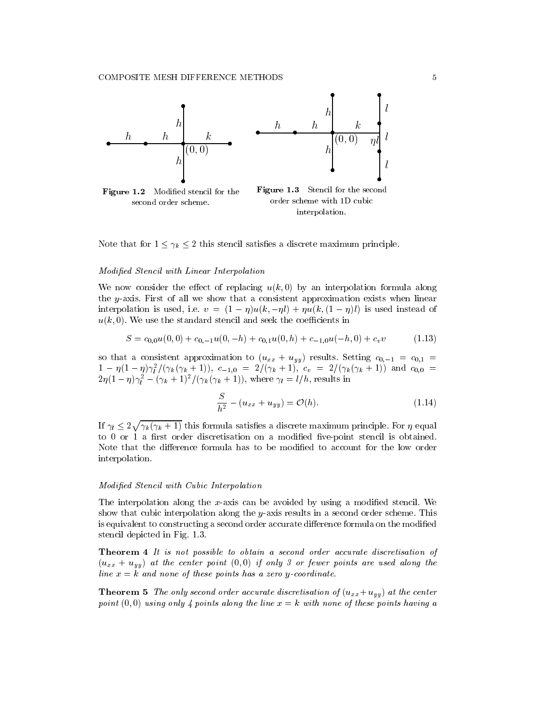

Note that for  $1 \leq \gamma_k \leq 2$  this stencil satisfies a discrete maximum principle.

### Modified Stencil with Linear Interpolation

We now consider the effect of replacing  $u(k,0)$  by an interpolation formula along the y-axis. First of all we show that a consistent approximation exists when linear interpolation is used, i.e.  $v = (1 - \eta)u(k, -\eta l) + \eta u(k, (1 - \eta)l)$  is used instead of  $u(k,0)$ . We use the standard stencil and seek the coefficients in

$$
S = c_{0,0}u(0,0) + c_{0,-1}u(0,-h) + c_{0,1}u(0,h) + c_{-1,0}u(-h,0) + c_v v \tag{1.13}
$$

so that a consistent approximation to  $(u_{xx} + u_{yy})$  results. Setting  $c_{0,-1} = c_{0,1}$  $1 - \eta(1 - \eta)\gamma_l^2/(\gamma_k(\gamma_k + 1)), c_{-1,0} = 2/(\gamma_k + 1), c_v = 2/(\gamma_k(\gamma_k + 1))$  and  $c_{0,0} = 2\eta(1 - \eta)\gamma_l^2 - (\gamma_k + 1)^2/(\gamma_k(\gamma_k + 1)),$  where  $\gamma_l = l/h$ , results in

$$
\frac{S}{h^2} - (u_{xx} + u_{yy}) = \mathcal{O}(h).
$$
 (1.14)

If  $\gamma_l \leq 2\sqrt{\gamma_k(\gamma_k+1)}$  this formula satisfies a discrete maximum principle. For  $\eta$  equal to 0 or 1 a first order discretisation on a modified five-point stencil is obtained. Note that the difference formula has to be modified to account for the low order interpolation.

#### Modified Stencil with Cubic Interpolation

The interpolation along the  $x$ -axis can be avoided by using a modified stencil. We show that cubic interpolation along the y-axis results in a second order scheme. This is equivalent to constructing a second order accurate difference formula on the modified stencil depicted in Fig. 1.3.

**Theorem 4** It is not possible to obtain a second order accurate discretisation of  $(u_{xx} + u_{yy})$  at the center point  $(0,0)$  if only 3 or fewer points are used along the line  $x = k$  and none of these points has a zero y-coordinate.

**Theorem 5** The only second order accurate discretisation of  $(u_{xx} + u_{yy})$  at the center point  $(0,0)$  using only 4 points along the line  $x = k$  with none of these points having a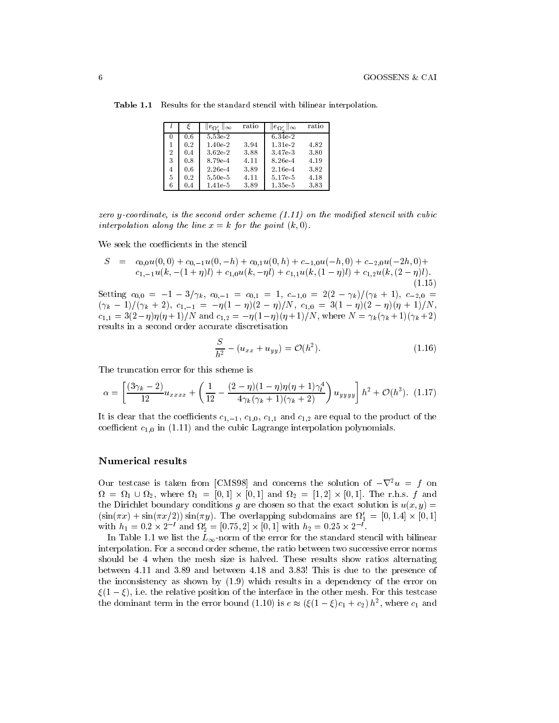|                |     | $ e_{\Omega'}  _{\infty}$ | ratio | $\ e_{\Omega'}\ _{\infty}$ | rat io |
|----------------|-----|---------------------------|-------|----------------------------|--------|
| 0              | 0.6 | 5.53e-2                   |       | 6.34e-2                    |        |
|                | 0.2 | $1.40e-2$                 | 3.94  | $1.31e-2$                  | 4.82   |
| $\overline{2}$ | 0.4 | $3.62e-2$                 | 3.88  | 3.47e 3                    | 3.80   |
| 3              | 0.8 | 8.79e-4                   | 4.11  | 8.26e-4                    | 4.19   |
| 4              | 0.6 | $2.26e-4$                 | 3.89  | 2.16e-4                    | 3.82   |
| 5.             | 0.2 | $5.50e-5$                 | 4.11  | 5.17e-5                    | 4.18   |
| 6              | 0.4 | $1.41e-5$                 | 3.89  | $1.35e-5$                  | 3.83   |

Table 1.1 Results for the standard stencil with bilinear interpolation.

zero y-coordinate, is the second order scheme  $(1.11)$  on the modified stencil with cubic interpolation along the line  $x = k$  for the point  $(k, 0)$ .

We seek the coefficients in the stencil

$$
S = c_{0,0}u(0,0) + c_{0,-1}u(0,-h) + c_{0,1}u(0,h) + c_{-1,0}u(-h,0) + c_{-2,0}u(-2h,0) + c_{1,-1}u(k,-(1+\eta)l) + c_{1,0}u(k,-\eta l) + c_{1,1}u(k,(1-\eta)l) + c_{1,2}u(k,(2-\eta)l).
$$
\n(1.15)

Setting  $c_{0,0} = -1 - 3/\gamma_k$ ,  $c_{0,-1} = c_{0,1} = 1$ ,  $c_{-1,0} = 2(2 - \gamma_k)/(\gamma_k + 1)$ ,  $c_{-2,0} =$  $(\gamma_k-1)/(\gamma_k+2), c_{1,-1} = -\eta(1-\eta)(2-\eta)/N, c_{1,0} = 3(1-\eta)(2-\eta)(\eta+1)/N,$  $c_{1,1} = 3(2-\eta)\eta(\eta+1)/N$  and  $c_{1,2} = -\eta(1-\eta)(\eta+1)/N$ , where  $N = \gamma_k(\gamma_k+1)(\gamma_k+2)$ results in a second order accurate discretisation

$$
\frac{S}{h^2} - (u_{xx} + u_{yy}) = \mathcal{O}(h^2). \tag{1.16}
$$

The truncation error for this scheme is

$$
\alpha = \left[ \frac{(3\gamma_k - 2)}{12} u_{xxxx} + \left( \frac{1}{12} - \frac{(2 - \eta)(1 - \eta)\eta(\eta + 1)\gamma_l^4}{4\gamma_k(\gamma_k + 1)(\gamma_k + 2)} \right) u_{yyyy} \right] h^2 + \mathcal{O}(h^3). \tag{1.17}
$$

It is clear that the coefficients  $c_{1,-1}$ ,  $c_{1,0}$ ,  $c_{1,1}$  and  $c_{1,2}$  are equal to the product of the coefficient  $c_{1,0}$  in (1.11) and the cubic Lagrange interpolation polynomials.

#### **Numerical results**

Our testcase is taken from [CMS98] and concerns the solution of  $-\nabla^2 u = f$  on  $\Omega = \Omega_1 \cup \Omega_2$ , where  $\Omega_1 = [0,1] \times [0,1]$  and  $\Omega_2 = [1,2] \times [0,1]$ . The r.h.s. f and the Dirichlet boundary conditions g are chosen so that the exact solution is  $u(x, y) =$  $(\sin(\pi x) + \sin(\pi x/2)) \sin(\pi y)$ . The overlapping subdomains are  $\Omega'_1 = [0, 1.4] \times [0, 1]$ with  $h_1 = 0.2 \times 2^{-l}$  and  $\Omega'_2 = [0.75, 2] \times [0, 1]$  with  $h_2 = 0.25 \times 2^{-l}$ .

In Table 1.1 we list the  $L_{\infty}$ -norm of the error for the standard stencil with bilinear interpolation. For a second order scheme, the ratio between two successive error norms should be 4 when the mesh size is halved. These results show ratios alternating between 4.11 and 3.89 and between 4.18 and 3.83! This is due to the presence of the inconsistency as shown by (1.9) which results in a dependency of the error on  $\xi(1-\xi)$ , i.e. the relative position of the interface in the other mesh. For this testcase the dominant term in the error bound (1.10) is  $e \approx (\xi(1-\xi)c_1+c_2)h^2$ , where  $c_1$  and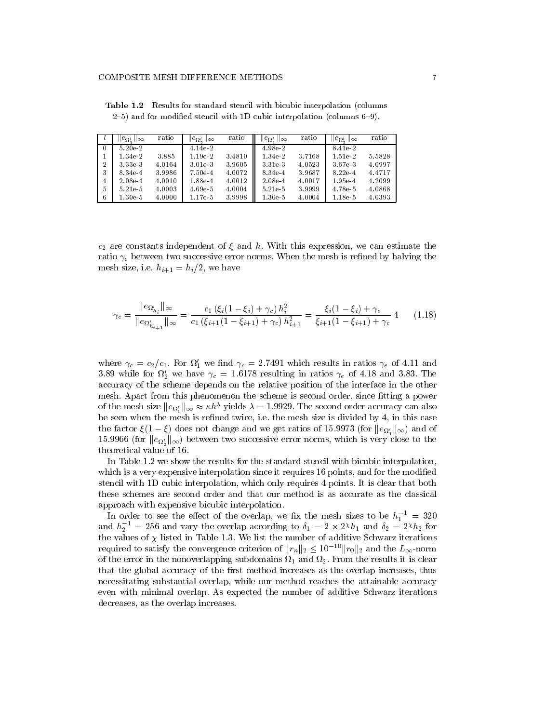|          | $ e_{\Omega'} $<br>ி∞ | ratio  | $ e_{\Omega'}  _{\infty}$ | ratio  | $\ e_{\Omega'}\ _{\infty}$ | ratio  | $\ e_{\Omega'}\ _{\infty}$ | ratio  |
|----------|-----------------------|--------|---------------------------|--------|----------------------------|--------|----------------------------|--------|
| $\theta$ | $5.20e-2$             |        | 4.14e 2                   |        | 4.98e-2                    |        | 8.41e-2                    |        |
|          | 1.34e.2               | 3.885  | 1.19e-2                   | 3.4810 | 1.34e-2                    | 3.7168 | $1.51e-2$                  | 5.5828 |
| 2        | 3.33e-3               | 4.0164 | 3.01e-3                   | 3.9605 | 3.31e-3                    | 4.0523 | 3.67e-3                    | 4.0997 |
| 3        | 8.34e-4               | 3.9986 | $7.50e-4$                 | 4.0072 | 8.34e-4                    | 3.9687 | 8.22e-4                    | 4.4717 |
| 4        | $2.08e-4$             | 4.0010 | 1.88e-4                   | 4.0012 | $2.08e-4$                  | 4.0017 | $1.95e-4$                  | 4.2099 |
| 5        | 5.21e-5               | 4.0003 | $4.69e-5$                 | 4.0004 | 5.21e-5                    | 3.9999 | 4.78e-5                    | 4.0868 |
| 6        | $1.30e-5$             | 4.0000 | 1.17e-5                   | 3.9998 | $1.30e-5$                  | 4.0004 | 1.18e-5                    | 4.0393 |

Table 1.2 Results for standard stencil with bicubic interpolation (columns 2-5) and for modified stencil with 1D cubic interpolation (columns 6-9).

 $c_2$  are constants independent of  $\xi$  and  $h$ . With this expression, we can estimate the ratio  $\gamma_e$  between two successive error norms. When the mesh is refined by halving the mesh size, i.e.  $h_{i+1} = h_i/2$ , we have

$$
\gamma_e = \frac{\|e_{\Omega'_{h_i}}\|_{\infty}}{\|e_{\Omega'_{h_{i+1}}}\|_{\infty}} = \frac{c_1(\xi_i(1-\xi_i) + \gamma_c) h_i^2}{c_1(\xi_{i+1}(1-\xi_{i+1}) + \gamma_c) h_{i+1}^2} = \frac{\xi_i(1-\xi_i) + \gamma_c}{\xi_{i+1}(1-\xi_{i+1}) + \gamma_c} 4 \tag{1.18}
$$

where  $\gamma_c = c_2/c_1$ . For  $\Omega'_1$  we find  $\gamma_c = 2.7491$  which results in ratios  $\gamma_e$  of 4.11 and 3.89 while for  $\Omega'_2$  we have  $\gamma_c = 1.6178$  resulting in ratios  $\gamma_e$  of 4.18 and 3.83. The accuracy of the scheme depends on the relative position of the interface in the other mesh. Apart from this phenomenon the scheme is second order, since fitting a power of the mesh size  $||e_{\Omega'_i}||_{\infty} \approx \kappa h^{\lambda}$  yields  $\lambda = 1.9929$ . The second order accuracy can also be seen when the mesh is refined twice, i.e. the mesh size is divided by 4, in this case the factor  $\xi(1-\xi)$  does not change and we get ratios of 15.9973 (for  $||e_{0'}||_{\infty}$ ) and of 15.9966 (for  $||e_{\Omega'_s}||_{\infty}$ ) between two successive error norms, which is very close to the theoretical value of 16.

In Table 1.2 we show the results for the standard stencil with bicubic interpolation, which is a very expensive interpolation since it requires 16 points, and for the modified stencil with 1D cubic interpolation, which only requires 4 points. It is clear that both these schemes are second order and that our method is as accurate as the classical approach with expensive bicubic interpolation.

In order to see the effect of the overlap, we fix the mesh sizes to be  $h_1^{-1} = 320$ and  $h_2^{-1} = 256$  and vary the overlap according to  $\delta_1 = 2 \times 2^{x} h_1$  and  $\delta_2 = 2^{x} h_2$  for the values of  $\chi$  listed in Table 1.3. We list the number of additive Schwarz iterations required to satisfy the convergence criterion of  $||r_n||_2 \leq 10^{-10} ||r_0||_2$  and the  $L_{\infty}$ -norm of the error in the nonoverlapping subdomains  $\Omega_1$  and  $\Omega_2$ . From the results it is clear that the global accuracy of the first method increases as the overlap increases, thus necessitating substantial overlap, while our method reaches the attainable accuracy even with minimal overlap. As expected the number of additive Schwarz iterations decreases, as the overlap increases.